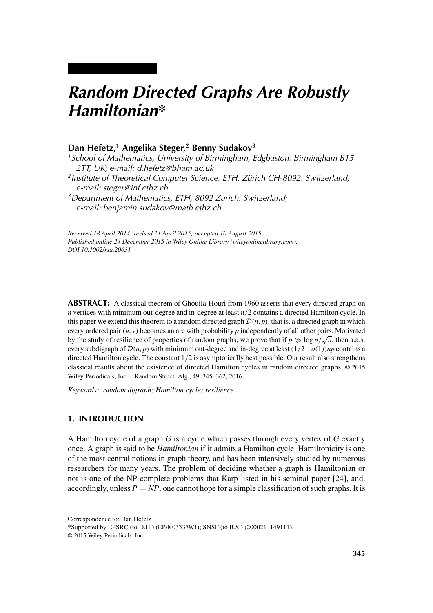# *Random Directed Graphs Are Robustly Hamiltonian\**

# **Dan Hefetz,1 Angelika Steger,2 Benny Sudakov3**

*1School of Mathematics, University of Birmingham, Edgbaston, Birmingham B15 2TT, UK; e-mail: d.hefetz@bham.ac.uk 2Institute of Theoretical Computer Science, ETH, Zürich CH-8092, Switzerland; e-mail: steger@inf.ethz.ch 3Department of Mathematics, ETH, 8092 Zurich, Switzerland;*

*e-mail: benjamin.sudakov@math.ethz.ch*

*Received 18 April 2014; revised 21 April 2015; accepted 10 August 2015 Published online 24 December 2015 in Wiley Online Library (wileyonlinelibrary.com). DOI 10.1002/rsa.20631*

**ABSTRACT:** A classical theorem of Ghouila-Houri from 1960 asserts that every directed graph on *n* vertices with minimum out-degree and in-degree at least *n/*2 contains a directed Hamilton cycle. In this paper we extend this theorem to a random directed graph  $\mathcal{D}(n, p)$ , that is, a directed graph in which every ordered pair  $(u, v)$  becomes an arc with probability  $p$  independently of all other pairs. Motivated by the study of resilience of properties of random graphs, we prove that if  $p \gg \log n / \sqrt{n}$ , then a.a.s. every subdigraph of  $\mathcal{D}(n, p)$  with minimum out-degree and in-degree at least  $(1/2+o(1))$ *np* contains a directed Hamilton cycle. The constant 1*/*2 is asymptotically best possible. Our result also strengthens classical results about the existence of directed Hamilton cycles in random directed graphs. © 2015 Wiley Periodicals, Inc. Random Struct. Alg., 49, 345–362, 2016

*Keywords: random digraph; Hamilton cycle; resilience*

# **1. INTRODUCTION**

A Hamilton cycle of a graph *G* is a cycle which passes through every vertex of *G* exactly once. A graph is said to be *Hamiltonian* if it admits a Hamilton cycle. Hamiltonicity is one of the most central notions in graph theory, and has been intensively studied by numerous researchers for many years. The problem of deciding whether a graph is Hamiltonian or not is one of the NP-complete problems that Karp listed in his seminal paper [24], and, accordingly, unless  $P = NP$ , one cannot hope for a simple classification of such graphs. It is

Correspondence to: Dan Hefetz

<sup>\*</sup>Supported by EPSRC (to D.H.) (EP/K033379/1); SNSF (to B.S.) (200021–149111).

<sup>© 2015</sup> Wiley Periodicals, Inc.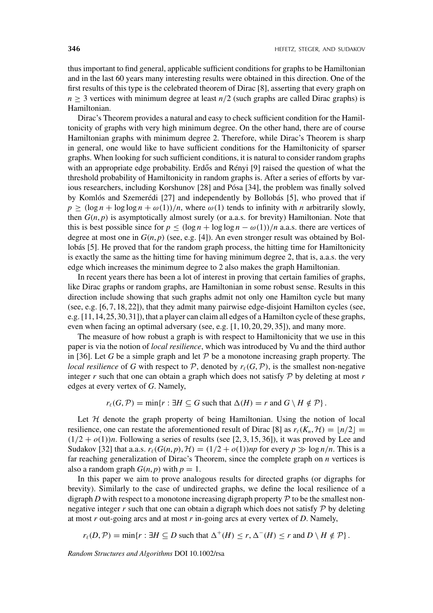thus important to find general, applicable sufficient conditions for graphs to be Hamiltonian and in the last 60 years many interesting results were obtained in this direction. One of the first results of this type is the celebrated theorem of Dirac [8], asserting that every graph on  $n \geq 3$  vertices with minimum degree at least  $n/2$  (such graphs are called Dirac graphs) is Hamiltonian.

Dirac's Theorem provides a natural and easy to check sufficient condition for the Hamiltonicity of graphs with very high minimum degree. On the other hand, there are of course Hamiltonian graphs with minimum degree 2. Therefore, while Dirac's Theorem is sharp in general, one would like to have sufficient conditions for the Hamiltonicity of sparser graphs. When looking for such sufficient conditions, it is natural to consider random graphs with an appropriate edge probability. Erdős and Rényi [9] raised the question of what the threshold probability of Hamiltonicity in random graphs is. After a series of efforts by various researchers, including Korshunov [28] and Pósa [34], the problem was finally solved by Komlós and Szemerédi [27] and independently by Bollobás [5], who proved that if  $p \geq (\log n + \log \log n + \omega(1))/n$ , where  $\omega(1)$  tends to infinity with *n* arbitrarily slowly, then  $G(n, p)$  is asymptotically almost surely (or a.a.s. for brevity) Hamiltonian. Note that this is best possible since for  $p \leq (\log n + \log \log n - \omega(1))/n$  a.a.s. there are vertices of degree at most one in  $G(n, p)$  (see, e.g. [4]). An even stronger result was obtained by Bollobás [5]. He proved that for the random graph process, the hitting time for Hamiltonicity is exactly the same as the hitting time for having minimum degree 2, that is, a.a.s. the very edge which increases the minimum degree to 2 also makes the graph Hamiltonian.

In recent years there has been a lot of interest in proving that certain families of graphs, like Dirac graphs or random graphs, are Hamiltonian in some robust sense. Results in this direction include showing that such graphs admit not only one Hamilton cycle but many (see, e.g. [6, 7, 18, 22]), that they admit many pairwise edge-disjoint Hamilton cycles (see, e.g. [11,14,25,30,31]), that a player can claim all edges of a Hamilton cycle of these graphs, even when facing an optimal adversary (see, e.g. [1, 10, 20, 29, 35]), and many more.

The measure of how robust a graph is with respect to Hamiltonicity that we use in this paper is via the notion of *local resilience*, which was introduced by Vu and the third author in [36]. Let G be a simple graph and let  $P$  be a monotone increasing graph property. The *local resilience* of *G* with respect to  $P$ , denoted by  $r<sub>\ell</sub>(G, P)$ , is the smallest non-negative integer  $r$  such that one can obtain a graph which does not satisfy  $\mathcal P$  by deleting at most  $r$ edges at every vertex of *G*. Namely,

 $r_{\ell}(G, \mathcal{P}) = \min\{r : \exists H \subseteq G \text{ such that } \Delta(H) = r \text{ and } G \setminus H \notin \mathcal{P}\}.$ 

Let  $H$  denote the graph property of being Hamiltonian. Using the notion of local resilience, one can restate the aforementioned result of Dirac [8] as  $r_\ell(K_n, \mathcal{H}) = \lfloor n/2 \rfloor$  $(1/2 + o(1))n$ . Following a series of results (see [2, 3, 15, 36]), it was proved by Lee and Sudakov [32] that a.a.s.  $r_{\ell}(G(n, p), \mathcal{H}) = (1/2 + o(1))$ *np* for every  $p \gg \log n/n$ . This is a far reaching generalization of Dirac's Theorem, since the complete graph on *n* vertices is also a random graph  $G(n, p)$  with  $p = 1$ .

In this paper we aim to prove analogous results for directed graphs (or digraphs for brevity). Similarly to the case of undirected graphs, we define the local resilience of a digraph *D* with respect to a monotone increasing digraph property  $P$  to be the smallest nonnegative integer  $r$  such that one can obtain a digraph which does not satisfy  $P$  by deleting at most *r* out-going arcs and at most *r* in-going arcs at every vertex of *D*. Namely,

$$
r_{\ell}(D,\mathcal{P}) = \min\{r : \exists H \subseteq D \text{ such that } \Delta^+(H) \le r, \Delta^-(H) \le r \text{ and } D \setminus H \notin \mathcal{P}\}.
$$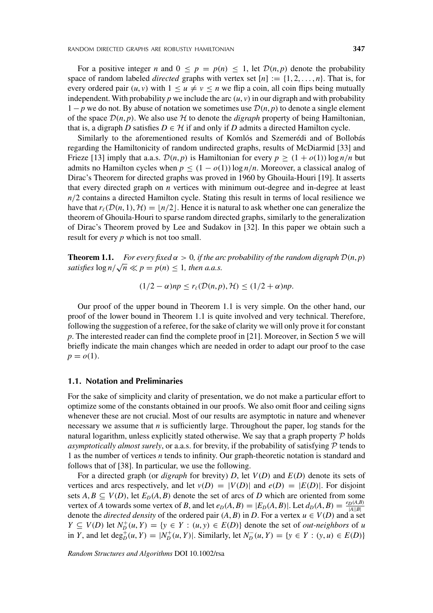For a positive integer *n* and  $0 \leq p = p(n) \leq 1$ , let  $\mathcal{D}(n, p)$  denote the probability space of random labeled *directed* graphs with vertex set  $[n] := \{1, 2, \ldots, n\}$ . That is, for every ordered pair  $(u, v)$  with  $1 \le u \ne v \le n$  we flip a coin, all coin flips being mutually independent. With probability  $p$  we include the arc  $(u, v)$  in our digraph and with probability  $1 - p$  we do not. By abuse of notation we sometimes use  $\mathcal{D}(n, p)$  to denote a single element of the space  $\mathcal{D}(n, p)$ . We also use H to denote the *digraph* property of being Hamiltonian, that is, a digraph *D* satisfies  $D \in \mathcal{H}$  if and only if *D* admits a directed Hamilton cycle.

Similarly to the aforementioned results of Komlós and Szemerédi and of Bollobás regarding the Hamiltonicity of random undirected graphs, results of McDiarmid [33] and Frieze [13] imply that a.a.s.  $\mathcal{D}(n, p)$  is Hamiltonian for every  $p \geq (1 + o(1)) \log n/n$  but admits no Hamilton cycles when  $p \leq (1 - o(1)) \log n/n$ . Moreover, a classical analog of Dirac's Theorem for directed graphs was proved in 1960 by Ghouila-Houri [19]. It asserts that every directed graph on *n* vertices with minimum out-degree and in-degree at least *n*/2 contains a directed Hamilton cycle. Stating this result in terms of local resilience we have that  $r_{\ell}(\mathcal{D}(n, 1), \mathcal{H}) = \lfloor n/2 \rfloor$ . Hence it is natural to ask whether one can generalize the theorem of Ghouila-Houri to sparse random directed graphs, similarly to the generalization of Dirac's Theorem proved by Lee and Sudakov in [32]. In this paper we obtain such a result for every *p* which is not too small.

**Theorem 1.1.** *For every fixed*  $\alpha > 0$ , *if the arc probability of the random digraph*  $D(n, p)$ *satisfies*  $\log n/\sqrt{n} \ll p = p(n) \leq 1$ , then a.a.s.

$$
(1/2 - \alpha)np \le r_{\ell}(\mathcal{D}(n, p), \mathcal{H}) \le (1/2 + \alpha)np.
$$

Our proof of the upper bound in Theorem 1.1 is very simple. On the other hand, our proof of the lower bound in Theorem 1.1 is quite involved and very technical. Therefore, following the suggestion of a referee, for the sake of clarity we will only prove it for constant *p*. The interested reader can find the complete proof in [21]. Moreover, in Section 5 we will briefly indicate the main changes which are needed in order to adapt our proof to the case  $p = o(1)$ .

# **1.1. Notation and Preliminaries**

For the sake of simplicity and clarity of presentation, we do not make a particular effort to optimize some of the constants obtained in our proofs. We also omit floor and ceiling signs whenever these are not crucial. Most of our results are asymptotic in nature and whenever necessary we assume that *n* is sufficiently large. Throughout the paper, log stands for the natural logarithm, unless explicitly stated otherwise. We say that a graph property  $P$  holds *asymptotically almost surely*, or a.a.s. for brevity, if the probability of satisfying  $P$  tends to 1 as the number of vertices *n* tends to infinity. Our graph-theoretic notation is standard and follows that of [38]. In particular, we use the following.

For a directed graph (or *digraph* for brevity) *D*, let *V(D)* and *E(D)* denote its sets of vertices and arcs respectively, and let  $v(D) = |V(D)|$  and  $e(D) = |E(D)|$ . For disjoint sets  $A, B \subseteq V(D)$ , let  $E_D(A, B)$  denote the set of arcs of *D* which are oriented from some vertex of A towards some vertex of B, and let  $e_D(A, B) = |E_D(A, B)|$ . Let  $d_D(A, B) = \frac{e_D(A, B)}{|A||B|}$ denote the *directed density* of the ordered pair  $(A, B)$  in *D*. For a vertex  $u \in V(D)$  and a set  $Y \subseteq V(D)$  let  $N_D^+(u, Y) = \{y \in Y : (u, y) \in E(D)\}\$ denote the set of *out-neighbors* of u in Y, and let  $\deg_D^+(u, Y) = |N_D^+(u, Y)|$ . Similarly, let  $N_D^-(u, Y) = \{y \in Y : (y, u) \in E(D)\}\$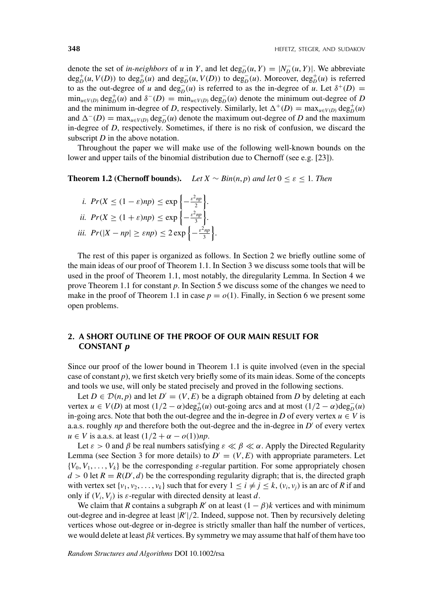denote the set of *in-neighbors* of *u* in *Y*, and let deg<sub>D</sub><sup> $((*u*, *Y*) = |*N*<sub>D</sub><sup>−</sup>(*u*, *Y*)|$ . We abbreviate</sup>  $deg_D^+(u, V(D))$  to  $deg_D^+(u)$  and  $deg_D^-(u, V(D))$  to  $deg_D^-(u)$ . Moreover,  $deg_D^+(u)$  is referred to as the out-degree of *u* and  $\deg_D^{-}(u)$  is referred to as the in-degree of *u*. Let  $\delta^+(D)$  =  $\min_{u \in V(D)} \deg_D^+(u)$  and  $\delta^-(D) = \min_{u \in V(D)} \deg_D^-(u)$  denote the minimum out-degree of D and the minimum in-degree of *D*, respectively. Similarly, let  $\Delta^+(D) = \max_{u \in V(D)} \text{deg}_D^+(u)$ and  $\Delta^{-}(D) = \max_{u \in V(D)} \text{deg}_D^{-}(u)$  denote the maximum out-degree of *D* and the maximum in-degree of *D*, respectively. Sometimes, if there is no risk of confusion, we discard the subscript *D* in the above notation.

Throughout the paper we will make use of the following well-known bounds on the lower and upper tails of the binomial distribution due to Chernoff (see e.g. [23]).

**Theorem 1.2 (Chernoff bounds).** *Let*  $X \sim Bin(n, p)$  *and let*  $0 \le \varepsilon \le 1$ *. Then* 

*i.* 
$$
Pr(X \le (1 - \varepsilon)np) \le \exp\left\{-\frac{\varepsilon^2 np}{2}\right\}
$$
.  
\n*ii.*  $Pr(X \ge (1 + \varepsilon)np) \le \exp\left\{-\frac{\varepsilon^2 np}{3}\right\}$ .  
\n*iii.*  $Pr(|X - np| \ge \varepsilon np) \le 2 \exp\left\{-\frac{\varepsilon^2 np}{3}\right\}$ 

The rest of this paper is organized as follows. In Section 2 we briefly outline some of the main ideas of our proof of Theorem 1.1. In Section 3 we discuss some tools that will be used in the proof of Theorem 1.1, most notably, the diregularity Lemma. In Section 4 we prove Theorem 1.1 for constant *p*. In Section 5 we discuss some of the changes we need to make in the proof of Theorem 1.1 in case  $p = o(1)$ . Finally, in Section 6 we present some open problems.

*.*

# **2. A SHORT OUTLINE OF THE PROOF OF OUR MAIN RESULT FOR CONSTANT** *p*

Since our proof of the lower bound in Theorem 1.1 is quite involved (even in the special case of constant *p*), we first sketch very briefly some of its main ideas. Some of the concepts and tools we use, will only be stated precisely and proved in the following sections.

Let  $D \in \mathcal{D}(n, p)$  and let  $D' = (V, E)$  be a digraph obtained from *D* by deleting at each vertex  $u \in V(D)$  at most  $(1/2 - \alpha) \text{deg}_D^+(u)$  out-going arcs and at most  $(1/2 - \alpha) \text{deg}_D^-(u)$ in-going arcs. Note that both the out-degree and the in-degree in *D* of every vertex  $u \in V$  is a.a.s. roughly  $np$  and therefore both the out-degree and the in-degree in  $D'$  of every vertex *u* ∈ *V* is a.a.s. at least  $(1/2 + α - o(1))$ *np*.

Let  $\varepsilon > 0$  and  $\beta$  be real numbers satisfying  $\varepsilon \ll \beta \ll \alpha$ . Apply the Directed Regularity Lemma (see Section 3 for more details) to  $D' = (V, E)$  with appropriate parameters. Let  $\{V_0, V_1, \ldots, V_k\}$  be the corresponding *ε*-regular partition. For some appropriately chosen  $d > 0$  let  $R = R(D', d)$  be the corresponding regularity digraph; that is, the directed graph with vertex set  $\{v_1, v_2, \ldots, v_k\}$  such that for every  $1 \le i \ne j \le k$ ,  $(v_i, v_j)$  is an arc of *R* if and only if  $(V_i, V_j)$  is  $\varepsilon$ -regular with directed density at least *d*.

We claim that *R* contains a subgraph *R'* on at least  $(1 - \beta)k$  vertices and with minimum out-degree and in-degree at least |*R* |*/*2. Indeed, suppose not. Then by recursively deleting vertices whose out-degree or in-degree is strictly smaller than half the number of vertices, we would delete at least *βk* vertices. By symmetry we may assume that half of them have too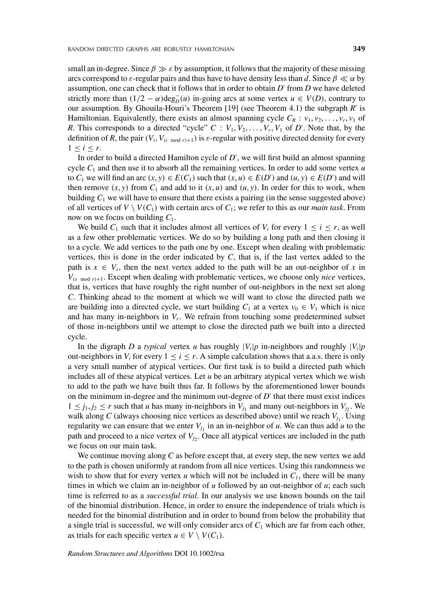small an in-degree. Since  $\beta \gg \varepsilon$  by assumption, it follows that the majority of these missing arcs correspond to *ε*-regular pairs and thus have to have density less than *d*. Since  $\beta \ll \alpha$  by assumption, one can check that it follows that in order to obtain *D'* from *D* we have deleted strictly more than  $(1/2 - \alpha) \text{deg}_D^-(u)$  in-going arcs at some vertex  $u \in V(D)$ , contrary to our assumption. By Ghouila-Houri's Theorem [19] (see Theorem 4.1) the subgraph *R'* is Hamiltonian. Equivalently, there exists an almost spanning cycle  $C_R$ :  $v_1, v_2, \ldots, v_r, v_1$  of *R*. This corresponds to a directed "cycle"  $C: V_1, V_2, \ldots, V_r, V_1$  of  $D'$ . Note that, by the definition of *R*, the pair  $(V_i, V_{(i \mod r)+1})$  is  $\varepsilon$ -regular with positive directed density for every  $1 < i < r$ .

In order to build a directed Hamilton cycle of *D* , we will first build an almost spanning cycle *C*<sup>1</sup> and then use it to absorb all the remaining vertices. In order to add some vertex *u* to  $C_1$  we will find an arc  $(x, y) \in E(C_1)$  such that  $(x, u) \in E(D')$  and  $(u, y) \in E(D')$  and will then remove  $(x, y)$  from  $C_1$  and add to it  $(x, u)$  and  $(u, y)$ . In order for this to work, when building  $C_1$  we will have to ensure that there exists a pairing (in the sense suggested above) of all vertices of  $V \setminus V(C_1)$  with certain arcs of  $C_1$ ; we refer to this as our *main task*. From now on we focus on building *C*1.

We build  $C_1$  such that it includes almost all vertices of  $V_i$  for every  $1 \le i \le r$ , as well as a few other problematic vertices. We do so by building a long path and then closing it to a cycle. We add vertices to the path one by one. Except when dealing with problematic vertices, this is done in the order indicated by *C*, that is, if the last vertex added to the path is  $x \in V_s$ , then the next vertex added to the path will be an out-neighbor of x in  $V_{(s \mod r)+1}$ . Except when dealing with problematic vertices, we choose only *nice* vertices, that is, vertices that have roughly the right number of out-neighbors in the next set along *C*. Thinking ahead to the moment at which we will want to close the directed path we are building into a directed cycle, we start building  $C_1$  at a vertex  $v_0 \in V_1$  which is nice and has many in-neighbors in *Vr*. We refrain from touching some predetermined subset of those in-neighbors until we attempt to close the directed path we built into a directed cycle.

In the digraph *D* a *typical* vertex *u* has roughly  $|V_i|p$  in-neighbors and roughly  $|V_i|p$ out-neighbors in  $V_i$  for every  $1 \le i \le r$ . A simple calculation shows that a.a.s. there is only a very small number of atypical vertices. Our first task is to build a directed path which includes all of these atypical vertices. Let *u* be an arbitrary atypical vertex which we wish to add to the path we have built thus far. It follows by the aforementioned lower bounds on the minimum in-degree and the minimum out-degree of  $D'$  that there must exist indices  $1 \leq j_1, j_2 \leq r$  such that *u* has many in-neighbors in  $V_{j_1}$  and many out-neighbors in  $V_{j_2}$ . We walk along *C* (always choosing nice vertices as described above) until we reach  $V_{j_1}$ . Using regularity we can ensure that we enter  $V_{j_1}$  in an in-neighbor of *u*. We can thus add *u* to the path and proceed to a nice vertex of  $V_j$ . Once all atypical vertices are included in the path we focus on our main task.

We continue moving along *C* as before except that, at every step, the new vertex we add to the path is chosen uniformly at random from all nice vertices. Using this randomness we wish to show that for every vertex *u* which will not be included in  $C_1$ , there will be many times in which we claim an in-neighbor of *u* followed by an out-neighbor of *u*; each such time is referred to as a *successful trial*. In our analysis we use known bounds on the tail of the binomial distribution. Hence, in order to ensure the independence of trials which is needed for the binomial distribution and in order to bound from below the probability that a single trial is successful, we will only consider arcs of  $C_1$  which are far from each other, as trials for each specific vertex  $u \in V \setminus V(C_1)$ .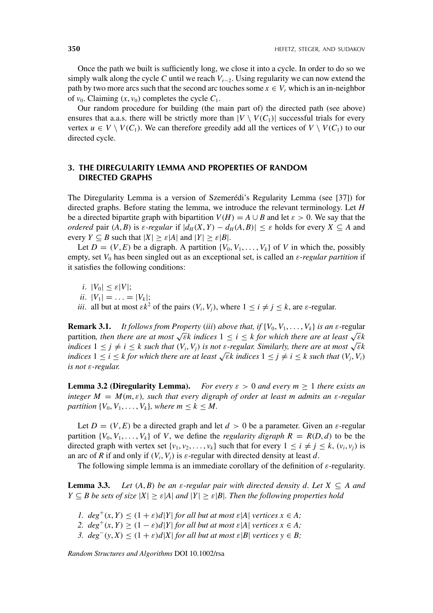Once the path we built is sufficiently long, we close it into a cycle. In order to do so we simply walk along the cycle *C* until we reach *Vr*−2. Using regularity we can now extend the path by two more arcs such that the second arc touches some  $x \in V_r$  which is an in-neighbor of  $v_0$ . Claiming  $(x, v_0)$  completes the cycle  $C_1$ .

Our random procedure for building (the main part of) the directed path (see above) ensures that a.a.s. there will be strictly more than  $|V \setminus V(C_1)|$  successful trials for every vertex  $u \in V \setminus V(C_1)$ . We can therefore greedily add all the vertices of  $V \setminus V(C_1)$  to our directed cycle.

# **3. THE DIREGULARITY LEMMA AND PROPERTIES OF RANDOM DIRECTED GRAPHS**

The Diregularity Lemma is a version of Szemerédi's Regularity Lemma (see [37]) for directed graphs. Before stating the lemma, we introduce the relevant terminology. Let *H* be a directed bipartite graph with bipartition  $V(H) = A \cup B$  and let  $\varepsilon > 0$ . We say that the *ordered* pair  $(A, B)$  is  $\varepsilon$ -regular if  $|d_H(X, Y) - d_H(A, B)| \leq \varepsilon$  holds for every  $X \subseteq A$  and every  $Y \subseteq B$  such that  $|X| \ge \varepsilon |A|$  and  $|Y| \ge \varepsilon |B|$ .

Let  $D = (V, E)$  be a digraph. A partition  $\{V_0, V_1, \ldots, V_k\}$  of *V* in which the, possibly empty, set *V*<sup>0</sup> has been singled out as an exceptional set, is called an *ε*-*regular partition* if it satisfies the following conditions:

*i*.  $|V_0| \leq \varepsilon |V|$ ; *ii*.  $|V_1| = \ldots = |V_k|$ ; *iii*. all but at most  $\epsilon k^2$  of the pairs  $(V_i, V_j)$ , where  $1 \le i \ne j \le k$ , are  $\epsilon$ -regular.

**Remark 3.1.** *It follows from Property (iii) above that, if*  $\{V_0, V_1, \ldots, V_k\}$  *is an*  $\varepsilon$ -regular partition, then there are at most  $\sqrt{\varepsilon}$ *k* indices  $1 \le i \le k$  for which there are at least  $\sqrt{\varepsilon}$ *k indices*  $1 \leq j \neq i \leq k$  *such that*  $(V_i, V_j)$  *is not ε-regular. Similarly, there are at most*  $\sqrt{\varepsilon}k$ *indices*  $1 \leq i \leq k$  *for which there are at least*  $\sqrt{\varepsilon}k$  *indices*  $1 \leq j \neq i \leq k$  *such that*  $(V_i, V_i)$ *is not ε-regular.*

**Lemma 3.2 (Diregularity Lemma).** *For every*  $\varepsilon > 0$  *and every*  $m \ge 1$  *there exists an integer*  $M = M(m, \varepsilon)$ *, such that every digraph of order at least m admits an*  $\varepsilon$ *-regular partition*  $\{V_0, V_1, \ldots, V_k\}$ *, where m*  $\leq k \leq M$ *.* 

Let  $D = (V, E)$  be a directed graph and let  $d > 0$  be a parameter. Given an  $\varepsilon$ -regular partition  $\{V_0, V_1, \ldots, V_k\}$  of *V*, we define the *regularity digraph*  $R = R(D, d)$  to be the directed graph with vertex set  $\{v_1, v_2, \ldots, v_k\}$  such that for every  $1 \le i \ne j \le k$ ,  $(v_i, v_j)$  is an arc of *R* if and only if  $(V_i, V_j)$  is  $\varepsilon$ -regular with directed density at least *d*.

The following simple lemma is an immediate corollary of the definition of *ε*-regularity.

**Lemma 3.3.** *Let*  $(A, B)$  *be an ε-regular pair with directed density d. Let*  $X \subseteq A$  *and*  $Y \subseteq B$  *be sets of size*  $|X| \geq \varepsilon |A|$  *and*  $|Y| \geq \varepsilon |B|$ *. Then the following properties hold* 

- *1.*  $deg^+(x, Y) \leq (1 + \varepsilon)d|Y|$  *for all but at most*  $\varepsilon|A|$  *vertices*  $x \in A$ ;
- *2.*  $deg^+(x, Y) \geq (1 \varepsilon)d|Y|$  *for all but at most*  $\varepsilon|A|$  *vertices*  $x \in A$ ;
- *3.*  $deg^{-}(y, X) \leq (1 + \varepsilon)d|X|$  *for all but at most*  $\varepsilon|B|$  *vertices*  $y \in B$ ;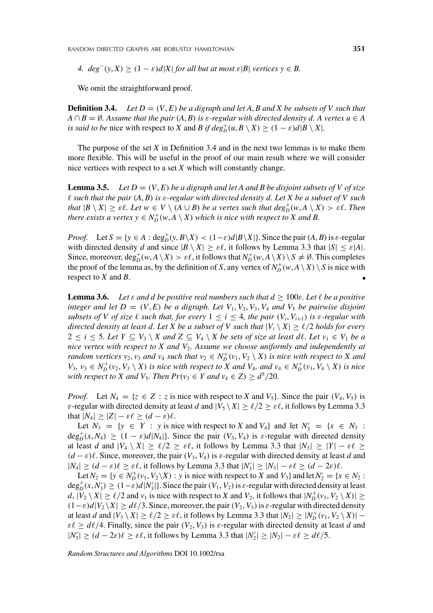RANDOM DIRECTED GRAPHS ARE ROBUSTLY HAMILTONIAN **351**

*4.*  $deg^{-}(y, X) \geq (1 - \varepsilon)d|X|$  *for all but at most*  $\varepsilon|B|$  *vertices*  $y \in B$ .

We omit the straightforward proof.

**Definition 3.4.** *Let*  $D = (V, E)$  *be a digraph and let* A, B and X *be subsets of V such that*  $A \cap B = \emptyset$ . Assume that the pair  $(A, B)$  is  $\varepsilon$ -regular with directed density d. A vertex  $u \in A$ *is said to be* nice with respect to *X* and *B* if  $deg_D^+(u, B \setminus X) \ge (1 - \varepsilon)d|B \setminus X|$ .

The purpose of the set *X* in Definition 3.4 and in the next two lemmas is to make them more flexible. This will be useful in the proof of our main result where we will consider nice vertices with respect to a set *X* which will constantly change.

**Lemma 3.5.** *Let*  $D = (V, E)$  *be a digraph and let* A *and B be disjoint subsets of* V *of size such that the pair (A*, *B) is ε-regular with directed density d. Let X be a subset of V such that*  $|B \setminus X| \geq \varepsilon \ell$ . Let  $w \in V \setminus (A \cup B)$  be a vertex such that  $deg^+_{D}(w, A \setminus X) > \varepsilon \ell$ . Then *there exists a vertex*  $y \in N_D^+(w, A \setminus X)$  *which is nice with respect to X and B.* 

*Proof.* Let  $S = \{y \in A : \text{deg}_D^+(y, B \setminus X) < (1 - \varepsilon)d|B \setminus X|\}.$  Since the pair  $(A, B)$  is  $\varepsilon$ -regular with directed density *d* and since  $|B \setminus X| \ge \varepsilon \ell$ , it follows by Lemma 3.3 that  $|S| \le \varepsilon |A|$ . Since, moreover,  $\deg_D^+(w, A \setminus X) > \varepsilon \ell$ , it follows that  $N_D^+(w, A \setminus X) \setminus S \neq \emptyset$ . This completes the proof of the lemma as, by the definition of *S*, any vertex of  $N_D^+(w, A \setminus X) \setminus S$  is nice with respect to *X* and *B*.

**Lemma 3.6.** Let  $\varepsilon$  *and d be positive real numbers such that*  $d \geq 100\varepsilon$ *. Let*  $\ell$  *be a positive integer and let*  $D = (V, E)$  *be a digraph. Let*  $V_1, V_2, V_3, V_4$  *and*  $V_5$  *be pairwise disjoint subsets of V of size*  $\ell$  *such that, for every*  $1 \leq i \leq 4$ *, the pair*  $(V_i, V_{i+1})$  *is*  $\epsilon$ *-regular with directed density at least d. Let X be a subset of V such that*  $|V_i \setminus X| \ge \ell/2$  *holds for every* 2 ≤ *i* ≤ 5*. Let Y*  $\subseteq$  *V*<sub>3</sub> \ *X* and Z  $\subseteq$  *V*<sub>4</sub> \ *X be sets of size at least dl. Let v*<sub>1</sub>  $\in$  *V*<sub>1</sub> *be a nice vertex with respect to X and V*2*. Assume we choose uniformly and independently at random vertices*  $v_2$ ,  $v_3$  *and*  $v_4$  *such that*  $v_2 \in N_D^+(v_1, V_2 \setminus X)$  *is nice with respect to* X *and*  $V_3, v_3 \in N_D^+(v_2, V_3 \setminus X)$  is nice with respect to X and  $V_4$ , and  $v_4 \in N_D^+(v_3, V_4 \setminus X)$  is nice *with respect to X and V<sub>5</sub>. Then*  $Pr(v_3 \in Y \text{ and } v_4 \in Z) \geq d^5/20$ *.* 

*Proof.* Let  $N_4 = \{z \in \mathbb{Z} : z \text{ is nice with respect to } X \text{ and } V_5\}$ . Since the pair  $(V_4, V_5)$  is *ε*-regular with directed density at least *d* and  $|V_5 \setminus X| \ge \ell/2 \ge \varepsilon \ell$ , it follows by Lemma 3.3 that  $|N_4| \geq |Z| - \varepsilon \ell \geq (d - \varepsilon)\ell$ .

Let  $N_3 = \{y \in Y : y \text{ is nice with respect to } X \text{ and } V_4\}$  and let  $N'_3 = \{x \in N_3 : Y_3 = V_3\}$  $\deg_D^+(x, N_4) \geq (1 - \varepsilon)d|N_4|$ . Since the pair  $(V_3, V_4)$  is  $\varepsilon$ -regular with directed density at least *d* and  $|V_4 \setminus X| \ge \ell/2 \ge \varepsilon \ell$ , it follows by Lemma 3.3 that  $|N_3| \ge |Y| - \varepsilon \ell \ge$  $(d - \varepsilon)\ell$ . Since, moreover, the pair  $(V_3, V_4)$  is  $\varepsilon$ -regular with directed density at least *d* and  $|N_4|$  ≥  $(d - \varepsilon)\ell$  ≥  $\varepsilon\ell$ , it follows by Lemma 3.3 that  $|N'_3|$  ≥  $|N_3| - \varepsilon\ell$  ≥  $(d - 2\varepsilon)\ell$ .

Let  $N_2 = \{y \in N_D^+(v_1, V_2 \setminus X) : y \text{ is nice with respect to } X \text{ and } V_3\}$  and let  $N_2' = \{x \in N_2 : X \in N_1\}$  $\deg_D^+(x, N'_3) \ge (1-\varepsilon)d|N'_3|$ . Since the pair  $(V_1, V_2)$  is  $\varepsilon$ -regular with directed density at least  $d$ ,  $|\tilde{V}_2 \setminus X| \ge \ell/2$  and  $v_1$  is nice with respect to *X* and  $V_2$ , it follows that  $|N_D^+(v_1, V_2 \setminus X)| \ge$  $(1−\varepsilon)d|V_2 \setminus X| \ge d\ell/3$ . Since, moreover, the pair  $(V_2, V_3)$  is  $\varepsilon$ -regular with directed density at least *d* and  $|V_3 \setminus X| \ge \ell/2 \ge \varepsilon \ell$ , it follows by Lemma 3.3 that  $|N_2| \ge |N_D^+(v_1, V_2 \setminus X)|$  –  $\varepsilon \ell \geq d\ell/4$ . Finally, since the pair  $(V_2, V_3)$  is  $\varepsilon$ -regular with directed density at least *d* and  $|N'_3| \ge (d - 2\varepsilon)\ell \ge \varepsilon\ell$ , it follows by Lemma 3.3 that  $|N'_2| \ge |N_2| - \varepsilon\ell \ge d\ell/5$ .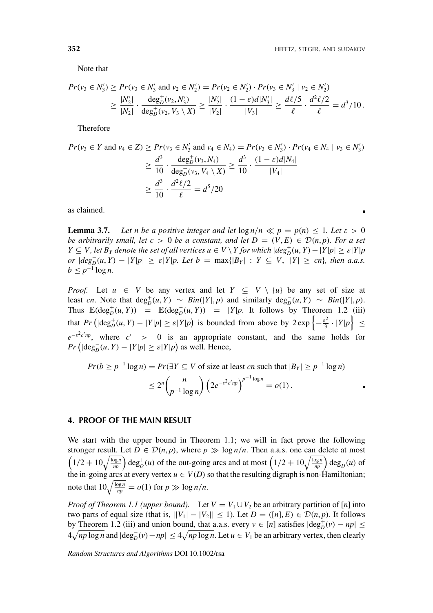Note that

$$
Pr(v_3 \in N'_3) \ge Pr(v_3 \in N'_3 \text{ and } v_2 \in N'_2) = Pr(v_2 \in N'_2) \cdot Pr(v_3 \in N'_3 \mid v_2 \in N'_2)
$$
  
 
$$
\ge \frac{|N'_2|}{|N_2|} \cdot \frac{\deg^+_{D}(v_2, N'_3)}{\deg^+_{D}(v_2, V_3 \setminus X)} \ge \frac{|N'_2|}{|V_2|} \cdot \frac{(1-\varepsilon)d|N'_3|}{|V_3|} \ge \frac{d\ell/5}{\ell} \cdot \frac{d^2\ell/2}{\ell} = d^3/10.
$$

Therefore

$$
Pr(v_3 \in Y \text{ and } v_4 \in Z) \ge Pr(v_3 \in N'_3 \text{ and } v_4 \in N_4) = Pr(v_3 \in N'_3) \cdot Pr(v_4 \in N_4 \mid v_3 \in N'_3)
$$
  
\n
$$
\ge \frac{d^3}{10} \cdot \frac{\deg_p^+(v_3, N_4)}{\deg_p^+(v_3, V_4 \setminus X)} \ge \frac{d^3}{10} \cdot \frac{(1 - \varepsilon)d|N_4|}{|V_4|}
$$
  
\n
$$
\ge \frac{d^3}{10} \cdot \frac{d^2\ell/2}{\ell} = d^5/20
$$

as claimed.

**Lemma 3.7.** Let *n* be a positive integer and let  $\log n/n \ll p = p(n) \leq 1$ . Let  $\varepsilon > 0$ *be arbitrarily small, let*  $c > 0$  *be a constant, and let*  $D = (V, E) \in \mathcal{D}(n, p)$ *. For a set*  $Y \subseteq V$ , let  $B_Y$  denote the set of all vertices  $u \in V \setminus Y$  for which  $|deg_D^+(u, Y) - |Y|p| \geq \varepsilon |Y|p$  $\partial P \left[ \deg_{D}^{-}(u, Y) - |Y|p| \ge \varepsilon |Y|p$ . Let  $b = \max\{|B_{Y}| : Y \subseteq V, |Y| \ge cn\}$ , then a.a.s.  $b \leq p^{-1} \log n$ .

*Proof.* Let  $u \in V$  be any vertex and let  $Y \subseteq V \setminus \{u\}$  be any set of size at least cn. Note that  $deg_D^+(u, Y) \sim Bin(|Y|, p)$  and similarly  $deg_D^-(u, Y) \sim Bin(|Y|, p)$ . Thus  $\mathbb{E}(\deg_D^+(u, Y)) = \mathbb{E}(\deg_D^-(u, Y)) = |Y|p$ . It follows by Theorem 1.2 (iii) that  $Pr\left(|deg^+_{D}(u, Y) - |Y|p| \ge \varepsilon |Y|p\right)$  is bounded from above by  $2 \exp\left\{-\frac{\varepsilon^2}{3} \cdot |Y|p\right\} \le$  $e^{-\varepsilon^2 c' np}$ , where  $c' > 0$  is an appropriate constant, and the same holds for  $Pr$  ( $|deg_{D}^{-}(u, Y) - |Y|p| \ge \varepsilon|Y|p$ ) as well. Hence,

$$
Pr(b \ge p^{-1} \log n) = Pr(\exists Y \subseteq V \text{ of size at least } cn \text{ such that } |B_Y| \ge p^{-1} \log n)
$$
  

$$
\le 2^n \binom{n}{p^{-1} \log n} \left( 2e^{-\varepsilon^2 c' np} \right)^{p^{-1} \log n} = o(1).
$$

#### **4. PROOF OF THE MAIN RESULT**

We start with the upper bound in Theorem 1.1; we will in fact prove the following stronger result. Let  $D \in \mathcal{D}(n, p)$ , where  $p \gg \log n/n$ . Then a.a.s. one can delete at most  $\left(1/2 + 10\sqrt{\frac{\log n}{np}}\right)$  deg<sub>p</sub><sup>+</sup>(*u*) of the out-going arcs and at most  $\left(1/2 + 10\sqrt{\frac{\log n}{np}}\right)$  deg<sub>p</sub><sup>-</sup>(*u*) of the in-going arcs at every vertex  $u \in V(D)$  so that the resulting digraph is non-Hamiltonian; note that  $10\sqrt{\frac{\log n}{np}} = o(1)$  for  $p \gg \log n/n$ .

*Proof of Theorem 1.1 (upper bound).* Let  $V = V_1 \cup V_2$  be an arbitrary partition of [*n*] into two parts of equal size (that is,  $||V_1| - |V_2|| \le 1$ ). Let *D* = ([*n*], *E*) ∈ *D*(*n*, *p*). It follows by Theorem 1.2 (iii) and union bound, that a.a.s. every  $v \in [n]$  satisfies  $|deg_{D}^{+}(v) - np| \le$  $4\sqrt{np \log n}$  and  $|\text{deg}_D^-(v) - np| \le 4\sqrt{np \log n}$ . Let  $u \in V_1$  be an arbitrary vertex, then clearly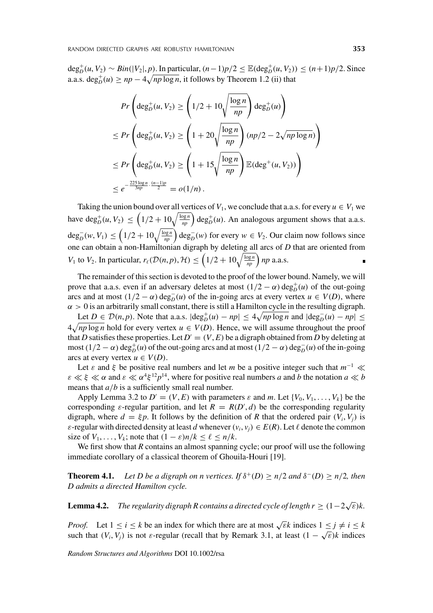$\deg_D^+(u, V_2) \sim Bin(|V_2|, p)$ . In particular,  $(n-1)p/2 \leq \mathbb{E}(\deg_D^+(u, V_2)) \leq (n+1)p/2$ . Since a.a.s.  $\deg_b^+(u) \ge np - 4\sqrt{np \log n}$ , it follows by Theorem 1.2 (ii) that

$$
Pr\left(\deg_D^+(u, V_2) \ge \left(1/2 + 10\sqrt{\frac{\log n}{np}}\right) \deg_D^+(u)\right)
$$
  
\n
$$
\le Pr\left(\deg_D^+(u, V_2) \ge \left(1 + 20\sqrt{\frac{\log n}{np}}\right)(np/2 - 2\sqrt{np\log n})\right)
$$
  
\n
$$
\le Pr\left(\deg_D^+(u, V_2) \ge \left(1 + 15\sqrt{\frac{\log n}{np}}\right) \mathbb{E}(\deg^+(u, V_2))\right)
$$
  
\n
$$
\le e^{-\frac{225\log n}{3np} \cdot \frac{(n-1)p}{2}} = o(1/n).
$$

Taking the union bound over all vertices of  $V_1$ , we conclude that a.a.s. for every  $u \in V_1$  we have  $\deg_D^+(u, V_2) \leq \left(1/2 + 10\sqrt{\frac{\log n}{np}}\right) \deg_D^+(u)$ . An analogous argument shows that a.a.s.  $\deg_D^{-}(w, V_1)$  ≤  $\left(1/2 + 10\sqrt{\frac{\log n}{np}}\right)$  deg<sub>*D*</sub>(*w*) for every *w* ∈ *V*<sub>2</sub>. Our claim now follows since one can obtain a non-Hamiltonian digraph by deleting all arcs of *D* that are oriented from *V*<sub>1</sub> to *V*<sub>2</sub>. In particular,  $r_{\ell}(\mathcal{D}(n, p), \mathcal{H}) \leq \left(1/2 + 10\sqrt{\frac{\log n}{np}}\right)np$  a.a.s.

The remainder of this section is devoted to the proof of the lower bound. Namely, we will prove that a.a.s. even if an adversary deletes at most  $(1/2 - \alpha) \deg_D^+(u)$  of the out-going arcs and at most  $(1/2 - \alpha) \deg_D^{-1}(u)$  of the in-going arcs at every vertex  $u \in V(D)$ , where  $\alpha > 0$  is an arbitrarily small constant, there is still a Hamilton cycle in the resulting digraph.

 $\text{Let } D \in \mathcal{D}(n, p)$ . Note that a.a.s.  $|\text{deg}_D^+(u) - np| \le 4\sqrt{np \log n}$  and  $|\text{deg}_D^-(u) - np|$  ≤  $4\sqrt{np \log n}$  hold for every vertex  $u \in V(D)$ . Hence, we will assume throughout the proof that *D* satisfies these properties. Let  $D' = (V, E)$  be a digraph obtained from *D* by deleting at  $\cos(1/2 - \alpha) \deg_D^+(u)$  of the out-going arcs and at most  $(1/2 - \alpha) \deg_D^-(u)$  of the in-going arcs at every vertex  $u \in V(D)$ .

Let  $\varepsilon$  and  $\xi$  be positive real numbers and let *m* be a positive integer such that  $m^{-1} \ll$  $\varepsilon \ll \xi \ll \alpha$  and  $\varepsilon \ll \alpha^4 \xi^{12} p^{14}$ , where for positive real numbers *a* and *b* the notation  $a \ll b$ means that *a/b* is a sufficiently small real number.

Apply Lemma 3.2 to  $D' = (V, E)$  with parameters  $\varepsilon$  and  $m$ . Let  $\{V_0, V_1, \ldots, V_k\}$  be the corresponding  $\varepsilon$ -regular partition, and let  $R = R(D', d)$  be the corresponding regularity digraph, where  $d = \xi p$ . It follows by the definition of *R* that the ordered pair  $(V_i, V_j)$  is *ε*-regular with directed density at least *d* whenever  $(v_i, v_j) \in E(R)$ . Let  $\ell$  denote the common size of  $V_1, \ldots, V_k$ ; note that  $(1 - \varepsilon)n/k \leq \ell \leq n/k$ .

We first show that *R* contains an almost spanning cycle; our proof will use the following immediate corollary of a classical theorem of Ghouila-Houri [19].

**Theorem 4.1.** *Let D be a digraph on n vertices. If*  $\delta^+(D) \ge n/2$  *and*  $\delta^-(D) \ge n/2$ , *then D admits a directed Hamilton cycle.*

**Lemma 4.2.** *The regularity digraph R contains a directed cycle of length*  $r \geq (1 - 2\sqrt{\varepsilon})k$ *.* 

*Proof.* Let  $1 \le i \le k$  be an index for which there are at most  $\sqrt{\varepsilon}k$  indices  $1 \le j \ne i \le k$ such that  $(V_i, V_j)$  is not *ε*-regular (recall that by Remark 3.1, at least  $(1 - \sqrt{\varepsilon})k$  indices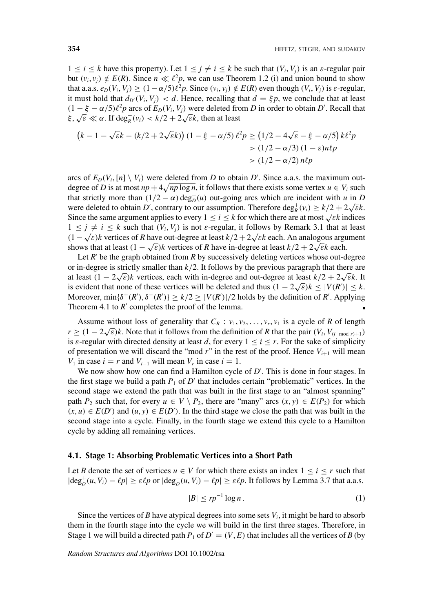$1 \leq i \leq k$  have this property). Let  $1 \leq j \neq i \leq k$  be such that  $(V_i, V_j)$  is an  $\varepsilon$ -regular pair but  $(v_i, v_i) \notin E(R)$ . Since  $n \ll l^2p$ , we can use Theorem 1.2 (i) and union bound to show that a.a.s.  $e_D(V_i, V_j) \ge (1 - \alpha/5)\ell^2 p$ . Since  $(v_i, v_j) \notin E(R)$  even though  $(V_i, V_j)$  is  $\varepsilon$ -regular, it must hold that  $d_{D'}(V_i, V_j) < d$ . Hence, recalling that  $d = \xi p$ , we conclude that at least  $(1 - \xi - \alpha/5)\ell^2 p$  arcs of  $E_D(V_i, V_j)$  were deleted from *D* in order to obtain *D'*. Recall that  $\zeta$ ,  $\sqrt{\epsilon} \ll \alpha$ . If deg<sub>*k*</sub></sub> $(v_i) < k/2 + 2\sqrt{\epsilon}k$ , then at least

$$
(k - 1 - \sqrt{\varepsilon}k - (k/2 + 2\sqrt{\varepsilon}k)) (1 - \xi - \alpha/5) \ell^2 p \ge (1/2 - 4\sqrt{\varepsilon} - \xi - \alpha/5) k\ell^2 p
$$
  
> (1/2 - \alpha/3) (1 - \varepsilon) n\ell p  
> (1/2 - \alpha/2) n\ell p

arcs of  $E_D(V_i, [n] \setminus V_i)$  were deleted from *D* to obtain *D'*. Since a.a.s. the maximum outdegree of *D* is at most  $np + 4\sqrt{np \log n}$ , it follows that there exists some vertex  $u \in V_i$  such that strictly more than  $(1/2 - \alpha)$  deg<sub>p</sub><sup>+</sup>(*u*) out-going arcs which are incident with *u* in *D* were deleted to obtain *D'*, contrary to our assumption. Therefore  $\deg_R^+(v_i) \ge k/2 + 2\sqrt{\epsilon}k$ . Since the same argument applies to every  $1 \le i \le k$  for which there are at most  $\sqrt{\varepsilon}$ *k* indices  $1 \leq j \neq i \leq k$  such that  $(V_i, V_j)$  is not  $\varepsilon$ -regular, it follows by Remark 3.1 that at least  $(1 - \sqrt{\varepsilon})k$  vertices of *R* have out-degree at least  $k/2 + 2\sqrt{\varepsilon}k$  each. An analogous argument shows that at least  $(1 - \sqrt{\varepsilon})k$  vertices of *R* have in-degree at least  $k/2 + 2\sqrt{\varepsilon}k$  each.

Let  $R'$  be the graph obtained from  $R$  by successively deleting vertices whose out-degree or in-degree is strictly smaller than *k/*2. It follows by the previous paragraph that there are at least *(*1 − 2 <sup>√</sup>*ε)<sup>k</sup>* vertices, each with in-degree and out-degree at least *<sup>k</sup>/*<sup>2</sup> <sup>+</sup> <sup>2</sup> <sup>√</sup>*εk*. It is evident that none of these vertices will be deleted and thus  $(1 - 2\sqrt{\varepsilon})k \le |V(R')| \le k$ . Moreover,  $\min{\{\delta^+(R'), \delta^-(R')\}} \ge k/2 \ge |V(R')|/2$  holds by the definition of *R'*. Applying Theorem 4.1 to  $R'$  completes the proof of the lemma.

Assume without loss of generality that  $C_R$ :  $v_1, v_2, \ldots, v_r, v_1$  is a cycle of *R* of length *r*  $\geq$   $(1 - 2\sqrt{\varepsilon})k$ . Note that it follows from the definition of *R* that the pair  $(V_i, V_{(i \mod r)+1})$ is  $\varepsilon$ -regular with directed density at least *d*, for every  $1 \le i \le r$ . For the sake of simplicity of presentation we will discard the "mod  $r$ " in the rest of the proof. Hence  $V_{i+1}$  will mean *V*<sub>1</sub> in case *i* = *r* and *V*<sub>*i*−1</sub> will mean *V<sub>r</sub>* in case *i* = 1.

We now show how one can find a Hamilton cycle of  $D'$ . This is done in four stages. In the first stage we build a path  $P_1$  of  $D'$  that includes certain "problematic" vertices. In the second stage we extend the path that was built in the first stage to an "almost spanning" path  $P_2$  such that, for every  $u \in V \setminus P_2$ , there are "many" arcs  $(x, y) \in E(P_2)$  for which  $(x, u) ∈ E(D')$  and  $(u, y) ∈ E(D')$ . In the third stage we close the path that was built in the second stage into a cycle. Finally, in the fourth stage we extend this cycle to a Hamilton cycle by adding all remaining vertices.

#### **4.1. Stage 1: Absorbing Problematic Vertices into a Short Path**

Let *B* denote the set of vertices  $u \in V$  for which there exists an index  $1 \le i \le r$  such that  $|\text{deg}_D^+(u, V_i) - \ell p| \ge \varepsilon \ell p$  or  $|\text{deg}_D^-(u, V_i) - \ell p| \ge \varepsilon \ell p$ . It follows by Lemma 3.7 that a.a.s.

$$
|B| \le rp^{-1} \log n \,. \tag{1}
$$

Since the vertices of *B* have atypical degrees into some sets  $V_i$ , it might be hard to absorb them in the fourth stage into the cycle we will build in the first three stages. Therefore, in Stage 1 we will build a directed path  $P_1$  of  $D' = (V, E)$  that includes all the vertices of *B* (by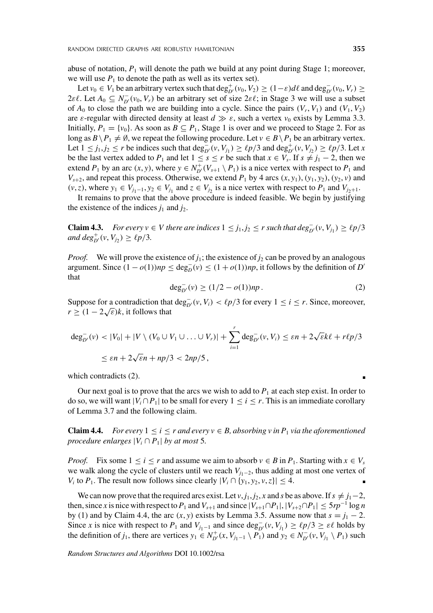abuse of notation,  $P_1$  will denote the path we build at any point during Stage 1; moreover, we will use  $P_1$  to denote the path as well as its vertex set).

Let  $v_0 \in V_1$  be an arbitrary vertex such that  $\deg_{D'}^+(v_0, V_2) \ge (1 - \varepsilon) d\ell$  and  $\deg_{D'}^-(v_0, V_r) \ge$ 2 $\epsilon \ell$ . Let  $A_0 \subseteq N_{D'}^-(v_0, V_r)$  be an arbitrary set of size 2 $\epsilon \ell$ ; in Stage 3 we will use a subset of  $A_0$  to close the path we are building into a cycle. Since the pairs  $(V_r, V_1)$  and  $(V_1, V_2)$ are  $\varepsilon$ -regular with directed density at least  $d \gg \varepsilon$ , such a vertex  $v_0$  exists by Lemma 3.3. Initially,  $P_1 = \{v_0\}$ . As soon as  $B \subseteq P_1$ , Stage 1 is over and we proceed to Stage 2. For as long as  $B \setminus P_1 \neq \emptyset$ , we repeat the following procedure. Let  $v \in B \setminus P_1$  be an arbitrary vertex. Let  $1 \le j_1, j_2 \le r$  be indices such that  $\deg_{D'}^-(v, V_{j_1}) \ge \ell p/3$  and  $\deg_{D'}^+(v, V_{j_2}) \ge \ell p/3$ . Let *x* be the last vertex added to  $P_1$  and let  $1 \leq s \leq r$  be such that  $x \in V_s$ . If  $s \neq j_1 - 2$ , then we extend  $P_1$  by an arc  $(x, y)$ , where  $y \in N_{D'}^+(V_{s+1} \setminus P_1)$  is a nice vertex with respect to  $P_1$  and  $V_{s+2}$ , and repeat this process. Otherwise, we extend  $P_1$  by 4 arcs  $(x, y_1), (y_1, y_2), (y_2, v)$  and  $(v, z)$ , where  $y_1$  ∈  $V_{j_1-1}$ ,  $y_2$  ∈  $V_{j_1}$  and  $z$  ∈  $V_{j_2}$  is a nice vertex with respect to  $P_1$  and  $V_{j_2+1}$ .

It remains to prove that the above procedure is indeed feasible. We begin by justifying the existence of the indices  $j_1$  and  $j_2$ .

**Claim 4.3.** *For every v* ∈ *V* there are indices  $1 ≤ j_1, j_2 ≤ r$  such that  $deg_{D'}^-(v, V_{j_1}) ≥ lp/3$  $\text{and } \text{deg}_{D'}^+(\nu, V_{j_2}) \ge \ell p/3.$ 

*Proof.* We will prove the existence of  $j_1$ ; the existence of  $j_2$  can be proved by an analogous argument. Since  $(1 − o(1))np ≤ deg<sub>D</sub>(v) ≤ (1 + o(1))np$ , it follows by the definition of *D'* that

$$
\deg_{D'}^-(v) \ge (1/2 - o(1))np \,. \tag{2}
$$

Suppose for a contradiction that  $\deg_{D'}^-(v, V_i) < \ell p/3$  for every  $1 \le i \le r$ . Since, moreover,  $\text{suppose for a contradiction that}$ <br> $r \geq (1 - 2\sqrt{\varepsilon})k$ , it follows that

$$
\deg_{D'}^-(v) < |V_0| + |V \setminus (V_0 \cup V_1 \cup \ldots \cup V_r)| + \sum_{i=1}^r \deg_{D'}^-(v, V_i) \leq \varepsilon n + 2\sqrt{\varepsilon}k\ell + r\ell p/3
$$
\n
$$
\leq \varepsilon n + 2\sqrt{\varepsilon}n + np/3 < 2np/5,
$$

which contradicts (2).

Our next goal is to prove that the arcs we wish to add to  $P_1$  at each step exist. In order to do so, we will want  $|V_i \cap P_1|$  to be small for every  $1 \le i \le r$ . This is an immediate corollary of Lemma 3.7 and the following claim.

**Claim 4.4.** *For every*  $1 \leq i \leq r$  *and every*  $v \in B$ *, absorbing v in P<sub>1</sub> via the aforementioned procedure enlarges*  $|V_i \cap P_1|$  *by at most* 5*.* 

*Proof.* Fix some  $1 \le i \le r$  and assume we aim to absorb  $v \in B$  in  $P_1$ . Starting with  $x \in V_s$ we walk along the cycle of clusters until we reach  $V_{j_1-2}$ , thus adding at most one vertex of *V<sub>i</sub>* to *P*<sub>1</sub>. The result now follows since clearly  $|V_i \cap \{y_1, y_2, v, z\}| \leq 4$ .

We can now prove that the required arcs exist. Let  $v$ ,  $j_1$ ,  $j_2$ ,  $x$  and  $s$  be as above. If  $s \neq j_1-2$ , then, since *x* is nice with respect to  $P_1$  and  $V_{s+1}$  and since  $|V_{s+1} \cap P_1|, |V_{s+2} \cap P_1| \le 5rp^{-1} \log n$ by (1) and by Claim 4.4, the arc  $(x, y)$  exists by Lemma 3.5. Assume now that  $s = j_1 - 2$ . Since *x* is nice with respect to  $P_1$  and  $V_{j_1-1}$  and since  $\deg_{D'}^-(v, V_{j_1}) \ge \ell p/3 \ge \varepsilon \ell$  holds by the definition of *j*<sub>1</sub>, there are vertices  $y_1 \in N_{D'}^+(x, V_{j_1-1} \setminus P_1)$  and  $y_2 \in N_{D'}^-(v, V_{j_1} \setminus P_1)$  such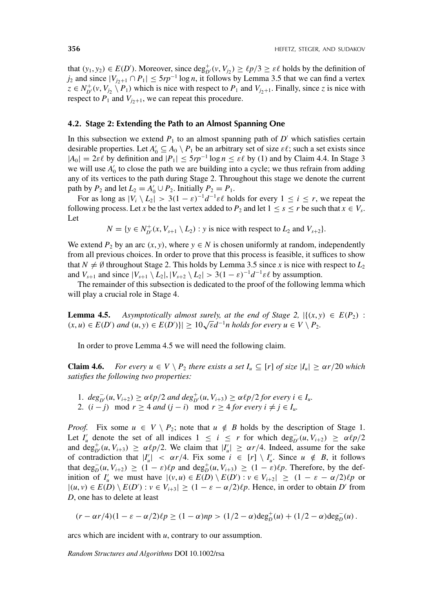that  $(y_1, y_2) \in E(D')$ . Moreover, since  $\deg_{D'}^+(v, V_{j_2}) \ge \ell p/3 \ge \varepsilon \ell$  holds by the definition of *j*<sub>2</sub> and since  $|V_{i+1} \cap P_1|$  ≤ 5*rp*<sup>−1</sup> log *n*, it follows by Lemma 3.5 that we can find a vertex  $z \in N_{D'}^+(v, V_{j_2} \setminus P_1)$  which is nice with respect to  $P_1$  and  $V_{j_2+1}$ . Finally, since *z* is nice with respect to  $P_1$  and  $V_{j+1}$ , we can repeat this procedure.

#### **4.2. Stage 2: Extending the Path to an Almost Spanning One**

In this subsection we extend  $P_1$  to an almost spanning path of  $D'$  which satisfies certain desirable properties. Let  $A'_0 \subseteq A_0 \setminus P_1$  be an arbitrary set of size  $\varepsilon \ell$ ; such a set exists since  $|A_0| = 2\varepsilon\ell$  by definition and  $|P_1| \le 5rp^{-1} \log n \le \varepsilon\ell$  by (1) and by Claim 4.4. In Stage 3 we will use  $A'_0$  to close the path we are building into a cycle; we thus refrain from adding any of its vertices to the path during Stage 2. Throughout this stage we denote the current path by  $P_2$  and let  $L_2 = A'_0 \cup P_2$ . Initially  $P_2 = P_1$ .

For as long as  $|V_i \setminus L_2| > 3(1 - \varepsilon)^{-1} d^{-1} \varepsilon \ell$  holds for every  $1 \le i \le r$ , we repeat the following process. Let *x* be the last vertex added to  $P_2$  and let  $1 \leq s \leq r$  be such that  $x \in V_s$ . Let

$$
N = \{ y \in N^+_{D'}(x, V_{s+1} \setminus L_2) : y \text{ is nice with respect to } L_2 \text{ and } V_{s+2} \}.
$$

We extend  $P_2$  by an arc  $(x, y)$ , where  $y \in N$  is chosen uniformly at random, independently from all previous choices. In order to prove that this process is feasible, it suffices to show that  $N \neq \emptyset$  throughout Stage 2. This holds by Lemma 3.5 since *x* is nice with respect to  $L_2$ and  $V_{s+1}$  and since  $|V_{s+1} \setminus L_2|, |V_{s+2} \setminus L_2| > 3(1 - \varepsilon)^{-1} d^{-1} \varepsilon \ell$  by assumption.

The remainder of this subsection is dedicated to the proof of the following lemma which will play a crucial role in Stage 4.

**Lemma 4.5.** *Asymptotically almost surely, at the end of Stage 2,*  $|\{(x, y) \in E(P_2)$ : **Lemma 4.5.** Asymptotically almost surely, at the end of stage 2,  $\{(x, y) \in E(D') \}$  and  $(u, y) \in E(D')\} \ge 10\sqrt{\epsilon}d^{-1}n$  holds for every  $u \in V \setminus P_2$ .

In order to prove Lemma 4.5 we will need the following claim.

**Claim 4.6.** *For every*  $u \in V \setminus P_2$  *there exists a set*  $I_u \subseteq [r]$  *of size*  $|I_u| \geq \alpha r/20$  *which satisfies the following two properties:*

**1.**  $deg_{D'}^-(u, V_{i+2}) \geq \alpha \ell_p/2$  *and*  $deg_{D'}^+(u, V_{i+3}) \geq \alpha \ell_p/2$  *for every i* ∈ *I<sub>u</sub>*. 2.  $(i - j) \mod r \geq 4$  *and*  $(j - i) \mod r \geq 4$  *for every*  $i \neq j \in I_u$ .

*Proof.* Fix some  $u \in V \setminus P_2$ ; note that  $u \notin B$  holds by the description of Stage 1. Let *I*<sup>u</sup> denote the set of all indices  $1 \le i \le r$  for which  $\deg_{D'}^-(u, V_{i+2}) \ge \alpha \ell p/2$ and  $deg_{D'}^+(u, V_{i+3}) \ge \alpha \ell_p/2$ . We claim that  $|I'_u| \ge \alpha r/4$ . Indeed, assume for the sake of contradiction that  $|I'_u| < \alpha r/4$ . Fix some  $i \in [r] \setminus I'_u$ . Since  $u \notin B$ , it follows that  $\deg_D^{-}(u, V_{i+2}) \geq (1 - \varepsilon)\ell p$  and  $\deg_D^{+}(u, V_{i+3}) \geq (1 - \varepsilon)\ell p$ . Therefore, by the definition of  $I'_u$  we must have  $|(v, u) \in E(D) \setminus E(D') : v \in V_{i+2}| \geq (1 - \varepsilon - \alpha/2)\ell p$  or  $|(u, v) \in E(D) \setminus E(D') : v \in V_{i+3}| \ge (1 - \varepsilon - \alpha/2)\ell p$ . Hence, in order to obtain D' from *D*, one has to delete at least

$$
(r - \alpha r/4)(1 - \varepsilon - \alpha/2)\ell p \ge (1 - \alpha)np > (1/2 - \alpha) \deg_D^+(u) + (1/2 - \alpha) \deg_D^-(u).
$$

arcs which are incident with *u*, contrary to our assumption.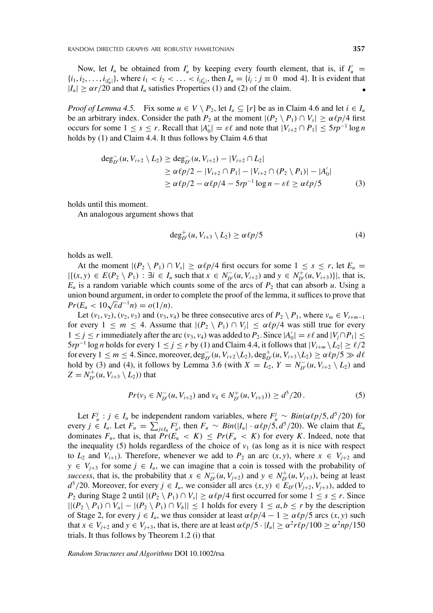Now, let  $I_u$  be obtained from  $I'_u$  by keeping every fourth element, that is, if  $I'_u$  $\{i_1, i_2, \ldots, i_{|I_u|}\}$ , where  $i_1 < i_2 < \ldots < i_{|I_u|}$ , then  $I_u = \{i_j : j \equiv 0 \mod 4\}$ . It is evident that  $|I_u| \geq \alpha r/20$  and that  $I_u$  satisfies Properties (1) and (2) of the claim.

*Proof of Lemma 4.5.* Fix some  $u \in V \setminus P_2$ , let  $I_u \subseteq [r]$  be as in Claim 4.6 and let  $i \in I_u$ be an arbitrary index. Consider the path  $P_2$  at the moment  $|(P_2 \setminus P_1) \cap V_s| \ge \alpha \ell p/4$  first occurs for some  $1 \leq s \leq r$ . Recall that  $|A'_0| = \varepsilon \ell$  and note that  $|V_{i+2} \cap P_1| \leq 5rp^{-1} \log n$ holds by (1) and Claim 4.4. It thus follows by Claim 4.6 that

$$
\deg_{D'}^{-}(u, V_{i+2} \setminus L_2) \ge \deg_{D'}^{-}(u, V_{i+2}) - |V_{i+2} \cap L_2|
$$
  
\n
$$
\ge \alpha \ell p/2 - |V_{i+2} \cap P_1| - |V_{i+2} \cap (P_2 \setminus P_1)| - |A'_0|
$$
  
\n
$$
\ge \alpha \ell p/2 - \alpha \ell p/4 - 5rp^{-1} \log n - \varepsilon \ell \ge \alpha \ell p/5
$$
 (3)

holds until this moment.

An analogous argument shows that

$$
\deg_{D'}^+(u, V_{i+3} \setminus L_2) \ge \alpha \ell p/5 \tag{4}
$$

holds as well.

At the moment  $|(P_2 \setminus P_1) \cap V_s| \ge \alpha \ell p/4$  first occurs for some  $1 \le s \le r$ , let  $E_u$  $|\{(x,y)\in E(P_2\setminus P_1):\exists i\in I_u \text{ such that } x\in N_{D'}^-(u,V_{i+2}) \text{ and } y\in N_{D'}^+(u,V_{i+3})\}|, \text{ that is,}$  $E_u$  is a random variable which counts some of the arcs of  $P_2$  that can absorb *u*. Using a union bound argument, in order to complete the proof of the lemma, it suffices to prove that  $Pr(E_u < 10\sqrt{\epsilon}d^{-1}n) = o(1/n).$ 

Let  $(v_1, v_2)$ ,  $(v_2, v_3)$  and  $(v_3, v_4)$  be three consecutive arcs of  $P_2 \setminus P_1$ , where  $v_m \in V_{i+m-1}$ for every  $1 \leq m \leq 4$ . Assume that  $|(P_2 \setminus P_1) \cap V_j| \leq \alpha \ell p/4$  was still true for every  $1 \le j \le r$  immediately after the arc  $(v_3, v_4)$  was added to  $P_2$ . Since  $|A'_0| = \varepsilon \ell$  and  $|V_j \cap P_1| \le$  $5rp^{-1}\log n$  holds for every  $1 \le j \le r$  by (1) and Claim 4.4, it follows that  $|V_{i+m} \setminus L_2| \ge \ell/2$ for every  $1 \le m \le 4$ . Since, moreover,  $\text{deg}_{D'}^-(u, V_{i+2} \setminus L_2)$ ,  $\text{deg}_{D'}^+(u, V_{i+3} \setminus L_2) \ge \alpha \ell p/5 \gg d\ell$ hold by (3) and (4), it follows by Lemma 3.6 (with  $X = L_2$ ,  $Y = N_{D'}^-(u, V_{i+2} \setminus L_2)$  and  $Z = N_{D'}^+(u, V_{i+3} \setminus L_2)$  that

$$
Pr(v_3 \in N_{D'}^-(u, V_{i+2}) \text{ and } v_4 \in N_{D'}^+(u, V_{i+3})) \ge d^5/20. \tag{5}
$$

Let  $F^j_u$  :  $j \in I_u$  be independent random variables, where  $F^j_u \sim Bin(\alpha \ell p/5, d^5/20)$  for every  $j \in I_u$ . Let  $F_u = \sum_{j \in I_u} F_u^j$ , then  $F_u \sim Bin(|I_u| \cdot \alpha \ell_p/5, d^5/20)$ . We claim that  $E_u$ dominates  $F_u$ , that is, that  $Pr(E_u < K) \leq Pr(F_u < K)$  for every *K*. Indeed, note that the inequality (5) holds regardless of the choice of  $v_1$  (as long as it is nice with respect to  $L_2$  and  $V_{i+1}$ ). Therefore, whenever we add to  $P_2$  an arc  $(x, y)$ , where  $x \in V_{i+2}$  and  $y \in V_{j+3}$  for some  $j \in I_u$ , we can imagine that a coin is tossed with the probability of *success*, that is, the probability that  $x \in N_{D'}^-(u, V_{j+2})$  and  $y \in N_{D'}^+(u, V_{j+3})$ , being at least *d*<sup>5</sup>/20. Moreover, for every *j* ∈ *I<sub>u</sub>*, we consider all arcs  $(x, y)$  ∈  $E_D(V_{j+2}, V_{j+3})$ , added to *P*<sub>2</sub> during Stage 2 until  $|(P_2 \setminus P_1) \cap V_s| \ge \alpha \ell p/4$  first occurred for some  $1 \le s \le r$ . Since  $||(P_2 \n\setminus P_1) ∩ V_a| - |(P_2 \setminus P_1) ∩ V_b|| \le 1$  holds for every  $1 \le a, b \le r$  by the description of Stage 2, for every  $j \in I_u$ , we thus consider at least  $\alpha \ell p/4 - 1 \geq \alpha \ell p/5$  arcs  $(x, y)$  such that  $x \in V_{i+2}$  and  $y \in V_{i+3}$ , that is, there are at least  $\alpha \ell p/5 \cdot |I_u| \geq \alpha^2 r \ell p/100 \geq \alpha^2 np/150$ trials. It thus follows by Theorem 1.2 (i) that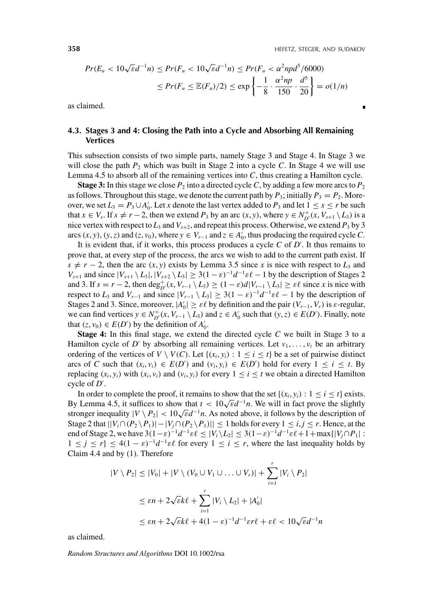$$
Pr(E_u < 10\sqrt{\varepsilon}d^{-1}n) \le Pr(F_u < 10\sqrt{\varepsilon}d^{-1}n) \le Pr(F_u < \alpha^2npd^5/6000) \\
\le Pr(F_u \le \mathbb{E}(F_u)/2) \le \exp\left\{-\frac{1}{8} \cdot \frac{\alpha^2np}{150} \cdot \frac{d^5}{20}\right\} = o(1/n)
$$

as claimed.

# **4.3. Stages 3 and 4: Closing the Path into a Cycle and Absorbing All Remaining Vertices**

This subsection consists of two simple parts, namely Stage 3 and Stage 4. In Stage 3 we will close the path  $P_2$  which was built in Stage 2 into a cycle  $C$ . In Stage 4 we will use Lemma 4.5 to absorb all of the remaining vertices into *C*, thus creating a Hamilton cycle.

**Stage 3:** In this stage we close  $P_2$  into a directed cycle C, by adding a few more arcs to  $P_2$ as follows. Throughout this stage, we denote the current path by  $P_3$ ; initially  $P_3 = P_2$ . Moreover, we set  $L_3 = P_3 \cup A'_0$ . Let *x* denote the last vertex added to  $P_3$  and let  $1 \le s \le r$  be such that  $x \in V_s$ . If  $s \neq r-2$ , then we extend  $P_3$  by an arc  $(x, y)$ , where  $y \in N_{D'}^+(x, V_{s+1} \setminus L_3)$  is a nice vertex with respect to  $L_3$  and  $V_{s+2}$ , and repeat this process. Otherwise, we extend  $P_3$  by 3 arcs  $(x, y)$ ,  $(y, z)$  and  $(z, v_0)$ , where  $y \in V_{r-1}$  and  $z \in A'_0$ , thus producing the required cycle *C*.

It is evident that, if it works, this process produces a cycle *C* of *D* . It thus remains to prove that, at every step of the process, the arcs we wish to add to the current path exist. If  $s \neq r - 2$ , then the arc  $(x, y)$  exists by Lemma 3.5 since *x* is nice with respect to  $L_3$  and *V<sub>s+1</sub>* and since  $|V_{s+1} \setminus L_3|, |V_{s+2} \setminus L_3| \geq 3(1-\varepsilon)^{-1}d^{-1}\varepsilon\ell - 1$  by the description of Stages 2 and 3. If  $s = r - 2$ , then  $\deg_{D'}^+(x, V_{r-1} \setminus L_3) \ge (1 - \varepsilon)d|V_{r-1} \setminus L_3| \ge \varepsilon\ell$  since *x* is nice with respect to  $L_3$  and  $V_{r-1}$  and since  $|V_{r-1} \setminus L_3| \geq 3(1 - \varepsilon)^{-1} d^{-1} \varepsilon \ell - 1$  by the description of Stages 2 and 3. Since, moreover,  $|A'_0| \ge \varepsilon \ell$  by definition and the pair  $(V_{r-1}, V_r)$  is  $\varepsilon$ -regular, we can find vertices  $y \in N_{D'}^+(x, V_{r-1} \setminus L_3)$  and  $z \in A'_0$  such that  $(y, z) \in E(D')$ . Finally, note that  $(z, v_0) \in E(D')$  by the definition of  $A'_0$ .

**Stage 4:** In this final stage, we extend the directed cycle *C* we built in Stage 3 to a Hamilton cycle of *D'* by absorbing all remaining vertices. Let  $v_1, \ldots, v_t$  be an arbitrary ordering of the vertices of  $V \setminus V(C)$ . Let  $\{(x_i, y_i) : 1 \le i \le t\}$  be a set of pairwise distinct arcs of *C* such that  $(x_i, v_i) \in E(D')$  and  $(v_i, y_i) \in E(D')$  hold for every  $1 \le i \le t$ . By replacing  $(x_i, y_i)$  with  $(x_i, v_i)$  and  $(v_i, y_i)$  for every  $1 \le i \le t$  we obtain a directed Hamilton cycle of *D* .

In order to complete the proof, it remains to show that the set  $\{(x_i, y_i) : 1 \le i \le t\}$  exists. By Lemma 4.5, it suffices to show that  $t < 10\sqrt{\epsilon}d^{-1}n$ . We will in fact prove the slightly stronger inequality  $|V \setminus P_2| < 10\sqrt{\epsilon}d^{-1}n$ . As noted above, it follows by the description of Stage 2 that  $||V_i \cap (P_2 \setminus P_1)| - |V_j \cap (P_2 \setminus P_1)|| \le 1$  holds for every  $1 \le i, j \le r$ . Hence, at the end of Stage 2, we have  $3(1-\varepsilon)^{-1}d^{-1}\varepsilon\ell \leq |V_i \setminus L_2| \leq 3(1-\varepsilon)^{-1}d^{-1}\varepsilon\ell + 1 + \max\{|V_j \cap P_1| :$  $1 \leq j \leq r$ }  $\leq 4(1-\varepsilon)^{-1}d^{-1}\varepsilon\ell$  for every  $1 \leq i \leq r$ , where the last inequality holds by Claim 4.4 and by (1). Therefore

$$
|V \setminus P_2| \le |V_0| + |V \setminus (V_0 \cup V_1 \cup \ldots \cup V_r)| + \sum_{i=1}^r |V_i \setminus P_2|
$$
  

$$
\le \varepsilon n + 2\sqrt{\varepsilon}k\ell + \sum_{i=1}^r |V_i \setminus L_2| + |A'_0|
$$
  

$$
\le \varepsilon n + 2\sqrt{\varepsilon}k\ell + 4(1 - \varepsilon)^{-1}d^{-1}\varepsilon r\ell + \varepsilon\ell < 10\sqrt{\varepsilon}d^{-1}n
$$

as claimed.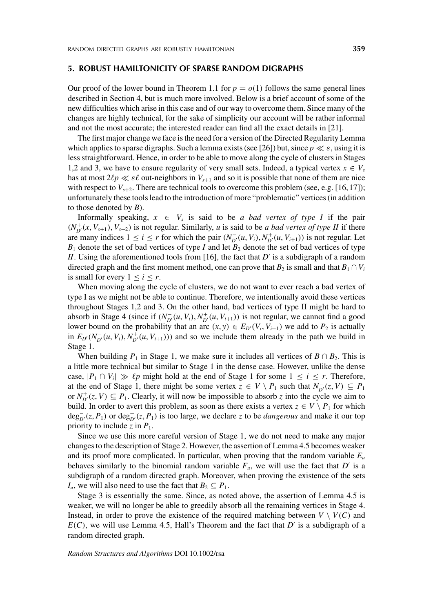#### **5. ROBUST HAMILTONICITY OF SPARSE RANDOM DIGRAPHS**

Our proof of the lower bound in Theorem 1.1 for  $p = o(1)$  follows the same general lines described in Section 4, but is much more involved. Below is a brief account of some of the new difficulties which arise in this case and of our way to overcome them. Since many of the changes are highly technical, for the sake of simplicity our account will be rather informal and not the most accurate; the interested reader can find all the exact details in [21].

The first major change we face is the need for a version of the Directed Regularity Lemma which applies to sparse digraphs. Such a lemma exists (see [26]) but, since  $p \ll \varepsilon$ , using it is less straightforward. Hence, in order to be able to move along the cycle of clusters in Stages 1,2 and 3, we have to ensure regularity of very small sets. Indeed, a typical vertex  $x \in V_s$ has at most  $2\ell p \ll \varepsilon \ell$  out-neighbors in  $V_{s+1}$  and so it is possible that none of them are nice with respect to  $V_{s+2}$ . There are technical tools to overcome this problem (see, e.g. [16,17]); unfortunately these tools lead to the introduction of more "problematic" vertices (in addition to those denoted by *B*).

Informally speaking,  $x \in V_s$  is said to be *a bad vertex of type I* if the pair  $(N_{D'}^+(x, V_{s+1}), V_{s+2})$  is not regular. Similarly, *u* is said to be *a bad vertex of type II* if there are many indices  $1 \le i \le r$  for which the pair  $(N_{D'}^-(u, V_i), N_{D'}^+(u, V_{i+1}))$  is not regular. Let  $B_1$  denote the set of bad vertices of type *I* and let  $B_2$  denote the set of bad vertices of type *II*. Using the aforementioned tools from [16], the fact that  $D'$  is a subdigraph of a random directed graph and the first moment method, one can prove that  $B_2$  is small and that  $B_1 \cap V_i$ is small for every  $1 < i < r$ .

When moving along the cycle of clusters, we do not want to ever reach a bad vertex of type I as we might not be able to continue. Therefore, we intentionally avoid these vertices throughout Stages 1,2 and 3. On the other hand, bad vertices of type II might be hard to absorb in Stage 4 (since if  $(N_{D'}^-(u, V_i), N_{D'}^+(u, V_{i+1}))$ ) is not regular, we cannot find a good lower bound on the probability that an arc  $(x, y) \in E_{D'}(V_i, V_{i+1})$  we add to  $P_2$  is actually in  $E_{D'}(N_{D'}^-(u, V_i), N_{D'}^+(u, V_{i+1})))$  and so we include them already in the path we build in Stage 1.

When building  $P_1$  in Stage 1, we make sure it includes all vertices of  $B \cap B_2$ . This is a little more technical but similar to Stage 1 in the dense case. However, unlike the dense case,  $|P_1 \cap V_i| \gg \ell p$  might hold at the end of Stage 1 for some  $1 \le i \le r$ . Therefore, at the end of Stage 1, there might be some vertex  $z \in V \setminus P_1$  such that  $N_{D'}^-(z, V) \subseteq P_1$ or  $N_{D'}^+(z, V) \subseteq P_1$ . Clearly, it will now be impossible to absorb *z* into the cycle we aim to build. In order to avert this problem, as soon as there exists a vertex  $z \in V \setminus P_1$  for which  $\deg_{D'}^{-}(z, P_1)$  or  $\deg_{D'}^{+}(z, P_1)$  is too large, we declare *z* to be *dangerous* and make it our top priority to include  $z$  in  $P_1$ .

Since we use this more careful version of Stage 1, we do not need to make any major changes to the description of Stage 2. However, the assertion of Lemma 4.5 becomes weaker and its proof more complicated. In particular, when proving that the random variable  $E_u$ behaves similarly to the binomial random variable  $F_u$ , we will use the fact that  $D'$  is a subdigraph of a random directed graph. Moreover, when proving the existence of the sets *I<sub>u</sub>*, we will also need to use the fact that  $B_2 \subseteq P_1$ .

Stage 3 is essentially the same. Since, as noted above, the assertion of Lemma 4.5 is weaker, we will no longer be able to greedily absorb all the remaining vertices in Stage 4. Instead, in order to prove the existence of the required matching between  $V \setminus V(C)$  and  $E(C)$ , we will use Lemma 4.5, Hall's Theorem and the fact that *D'* is a subdigraph of a random directed graph.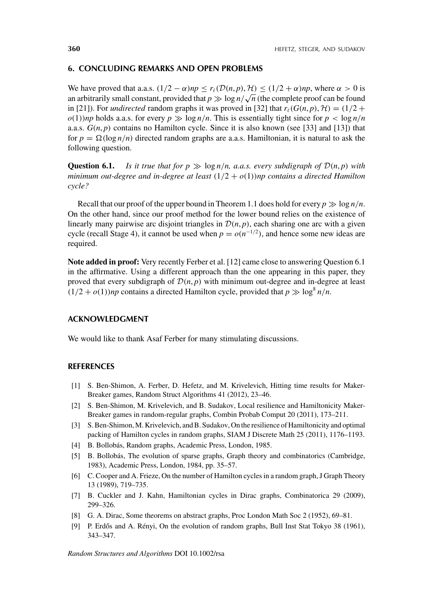#### **6. CONCLUDING REMARKS AND OPEN PROBLEMS**

We have proved that a.a.s.  $(1/2 - \alpha)np \le r_\ell(\mathcal{D}(n, p), \mathcal{H}) \le (1/2 + \alpha)np$ , where  $\alpha > 0$  is we have proved that a.a.s.  $(1/2 - \alpha)n p \le r_\ell(D(n, p), \pi) \le (1/2 + \alpha)n p$ , where  $\alpha > 0$  is<br>an arbitrarily small constant, provided that  $p \gg \log n / \sqrt{n}$  (the complete proof can be found in [21]). For *undirected* random graphs it was proved in [32] that  $r_{\ell}(G(n, p), \mathcal{H}) = (1/2 +$  $o(1)$ )*np* holds a.a.s. for every  $p \gg \log n/n$ . This is essentially tight since for  $p < \log n/n$ a.a.s.  $G(n, p)$  contains no Hamilton cycle. Since it is also known (see [33] and [13]) that for  $p = \Omega(\log n/n)$  directed random graphs are a.a.s. Hamiltonian, it is natural to ask the following question.

**Question 6.1.** *Is it true that for*  $p \gg \log n/n$ , *a.a.s. every subdigraph of*  $D(n, p)$  *with minimum out-degree and in-degree at least (*1*/*2 + *o(*1*))np contains a directed Hamilton cycle?*

Recall that our proof of the upper bound in Theorem 1.1 does hold for every  $p \gg \log n/n$ . On the other hand, since our proof method for the lower bound relies on the existence of linearly many pairwise arc disjoint triangles in  $\mathcal{D}(n, p)$ , each sharing one arc with a given cycle (recall Stage 4), it cannot be used when  $p = o(n^{-1/2})$ , and hence some new ideas are required.

**Note added in proof:** Very recently Ferber et al. [12] came close to answering Question 6.1 in the affirmative. Using a different approach than the one appearing in this paper, they proved that every subdigraph of  $\mathcal{D}(n, p)$  with minimum out-degree and in-degree at least  $(1/2 + o(1))$ *np* contains a directed Hamilton cycle, provided that  $p \gg \log^8 n/n$ .

#### **ACKNOWLEDGMENT**

We would like to thank Asaf Ferber for many stimulating discussions.

#### **REFERENCES**

- [1] S. Ben-Shimon, A. Ferber, D. Hefetz, and M. Krivelevich, Hitting time results for Maker-Breaker games, Random Struct Algorithms 41 (2012), 23–46.
- [2] S. Ben-Shimon, M. Krivelevich, and B. Sudakov, Local resilience and Hamiltonicity Maker-Breaker games in random-regular graphs, Combin Probab Comput 20 (2011), 173–211.
- [3] S. Ben-Shimon, M. Krivelevich, and B. Sudakov, On the resilience of Hamiltonicity and optimal packing of Hamilton cycles in random graphs, SIAM J Discrete Math 25 (2011), 1176–1193.
- [4] B. Bollobás, Random graphs, Academic Press, London, 1985.
- [5] B. Bollobás, The evolution of sparse graphs, Graph theory and combinatorics (Cambridge, 1983), Academic Press, London, 1984, pp. 35–57.
- [6] C. Cooper and A. Frieze, On the number of Hamilton cycles in a random graph, J Graph Theory 13 (1989), 719–735.
- [7] B. Cuckler and J. Kahn, Hamiltonian cycles in Dirac graphs, Combinatorica 29 (2009), 299–326.
- [8] G. A. Dirac, Some theorems on abstract graphs, Proc London Math Soc 2 (1952), 69–81.
- [9] P. Erdős and A. Rényi, On the evolution of random graphs, Bull Inst Stat Tokyo 38 (1961), 343–347.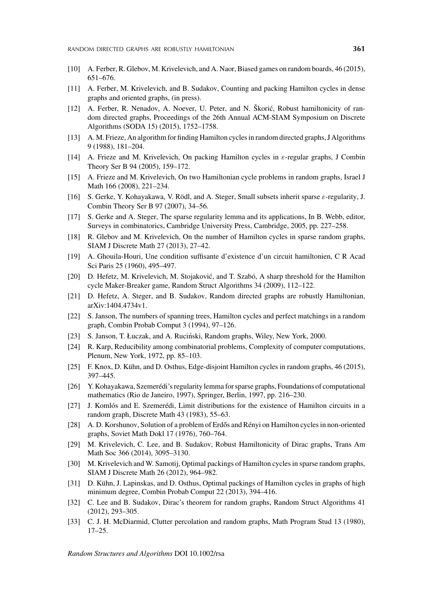- [10] A. Ferber, R. Glebov, M. Krivelevich, and A. Naor, Biased games on random boards, 46 (2015), 651–676.
- [11] A. Ferber, M. Krivelevich, and B. Sudakov, Counting and packing Hamilton cycles in dense graphs and oriented graphs, (in press).
- [12] A. Ferber, R. Nenadov, A. Noever, U. Peter, and N. Škoric, Robust hamiltonicity of ran- ´ dom directed graphs, Proceedings of the 26th Annual ACM-SIAM Symposium on Discrete Algorithms (SODA 15) (2015), 1752–1758.
- [13] A. M. Frieze, An algorithm for finding Hamilton cycles in random directed graphs, J Algorithms 9 (1988), 181–204.
- [14] A. Frieze and M. Krivelevich, On packing Hamilton cycles in *ε*-regular graphs, J Combin Theory Ser B 94 (2005), 159–172.
- [15] A. Frieze and M. Krivelevich, On two Hamiltonian cycle problems in random graphs, Israel J Math 166 (2008), 221–234.
- [16] S. Gerke, Y. Kohayakawa, V. Rödl, and A. Steger, Small subsets inherit sparse *ε*-regularity, J. Combin Theory Ser B 97 (2007), 34–56.
- [17] S. Gerke and A. Steger, The sparse regularity lemma and its applications, In B. Webb, editor, Surveys in combinatorics, Cambridge University Press, Cambridge, 2005, pp. 227–258.
- [18] R. Glebov and M. Krivelevich, On the number of Hamilton cycles in sparse random graphs, SIAM J Discrete Math 27 (2013), 27–42.
- [19] A. Ghouila-Houri, Une condition suffisante d'existence d'un circuit hamiltonien, C R Acad Sci Paris 25 (1960), 495–497.
- [20] D. Hefetz, M. Krivelevich, M. Stojakovic, and T. Szabó, A sharp threshold for the Hamilton ´ cycle Maker-Breaker game, Random Struct Algorithms 34 (2009), 112–122.
- [21] D. Hefetz, A. Steger, and B. Sudakov, Random directed graphs are robustly Hamiltonian, arXiv:1404.4734v1.
- [22] S. Janson, The numbers of spanning trees, Hamilton cycles and perfect matchings in a random graph, Combin Probab Comput 3 (1994), 97–126.
- [23] S. Janson, T. Łuczak, and A. Ruciński, Random graphs, Wiley, New York, 2000.
- [24] R. Karp, Reducibility among combinatorial problems, Complexity of computer computations, Plenum, New York, 1972, pp. 85–103.
- [25] F. Knox, D. Kühn, and D. Osthus, Edge-disjoint Hamilton cycles in random graphs, 46 (2015), 397–445.
- [26] Y. Kohayakawa, Szemerédi's regularity lemma for sparse graphs, Foundations of computational mathematics (Rio de Janeiro, 1997), Springer, Berlin, 1997, pp. 216–230.
- [27] J. Komlós and E. Szemerédi, Limit distributions for the existence of Hamilton circuits in a random graph, Discrete Math 43 (1983), 55–63.
- [28] A. D. Korshunov, Solution of a problem of Erdős and Rényi on Hamilton cycles in non-oriented graphs, Soviet Math Dokl 17 (1976), 760–764.
- [29] M. Krivelevich, C. Lee, and B. Sudakov, Robust Hamiltonicity of Dirac graphs, Trans Am Math Soc 366 (2014), 3095–3130.
- [30] M. Krivelevich and W. Samotij, Optimal packings of Hamilton cycles in sparse random graphs, SIAM J Discrete Math 26 (2012), 964–982.
- [31] D. Kühn, J. Lapinskas, and D. Osthus, Optimal packings of Hamilton cycles in graphs of high minimum degree, Combin Probab Comput 22 (2013), 394–416.
- [32] C. Lee and B. Sudakov, Dirac's theorem for random graphs, Random Struct Algorithms 41 (2012), 293–305.
- [33] C. J. H. McDiarmid, Clutter percolation and random graphs, Math Program Stud 13 (1980), 17–25.